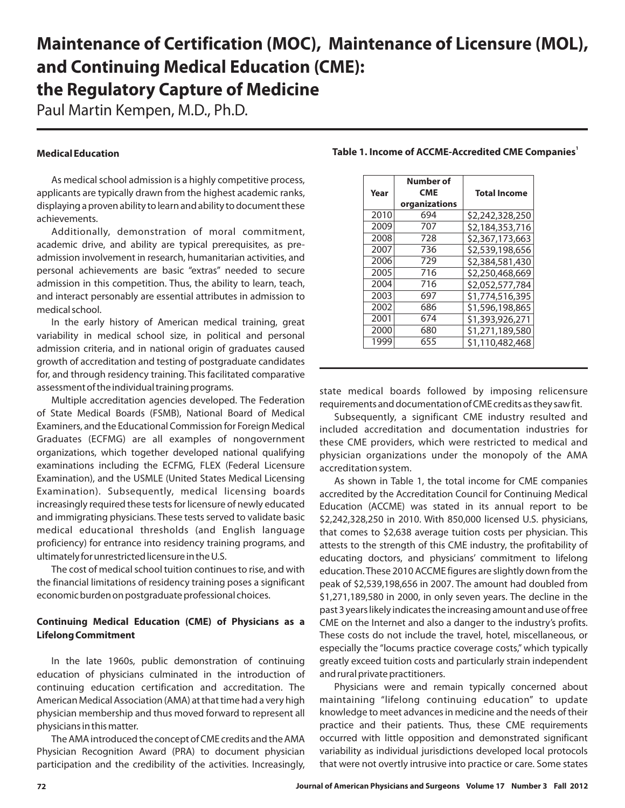# **Maintenance of Certification (MOC), Maintenance of Licensure (MOL), and Continuing Medical Education (CME): the Regulatory Capture of Medicine**

Paul Martin Kempen, M.D., Ph.D.

### **Medical Education**

As medical school admission is a highly competitive process, applicants are typically drawn from the highest academic ranks, displaying a proven ability to learn and ability to document these achievements.

Additionally, demonstration of moral commitment, academic drive, and ability are typical prerequisites, as preadmission involvement in research, humanitarian activities, and personal achievements are basic "extras" needed to secure admission in this competition. Thus, the ability to learn, teach, and interact personably are essential attributes in admission to medical school.

In the early history of American medical training, great variability in medical school size, in political and personal admission criteria, and in national origin of graduates caused growth of accreditation and testing of postgraduate candidates for, and through residency training. This facilitated comparative assessment of the individual training programs.

Multiple accreditation agencies developed. The Federation of State Medical Boards (FSMB), National Board of Medical Examiners, and the Educational Commission for Foreign Medical Graduates (ECFMG) are all examples of nongovernment organizations, which together developed national qualifying examinations including the ECFMG, FLEX (Federal Licensure Examination), and the USMLE (United States Medical Licensing Examination). Subsequently, medical licensing boards increasingly required these tests for licensure of newly educated and immigrating physicians. These tests served to validate basic medical educational thresholds (and English language proficiency) for entrance into residency training programs, and ultimately for unrestricted licensure in the U.S.

The cost of medical school tuition continues to rise, and with the financial limitations of residency training poses a significant economic burden on postgraduate professional choices.

## **Continuing Medical Education (CME) of Physicians as a Lifelong Commitment**

In the late 1960s, public demonstration of continuing education of physicians culminated in the introduction of continuing education certification and accreditation. The American Medical Association (AMA) at that time had a very high physician membership and thus moved forward to represent all physicians in this matter.

The AMA introduced the concept of CME credits and the AMA Physician Recognition Award (PRA) to document physician participation and the credibility of the activities. Increasingly,

|      | Number of     |                     |  |  |  |
|------|---------------|---------------------|--|--|--|
| Year | <b>CME</b>    | <b>Total Income</b> |  |  |  |
|      | organizations |                     |  |  |  |
| 2010 | 694           | \$2,242,328,250     |  |  |  |
| 2009 | 707           | \$2,184,353,716     |  |  |  |
| 2008 | 728           | \$2,367,173,663     |  |  |  |
| 2007 | 736           | \$2,539,198,656     |  |  |  |
| 2006 | 729           | \$2,384,581,430     |  |  |  |
| 2005 | 716           | \$2,250,468,669     |  |  |  |
| 2004 | 716           | \$2,052,577,784     |  |  |  |
| 2003 | 697           | \$1,774,516,395     |  |  |  |
| 2002 | 686           | \$1,596,198,865     |  |  |  |
| 2001 | 674           | \$1,393,926,271     |  |  |  |
| 2000 | 680           | \$1,271,189,580     |  |  |  |
| 1999 | 655           | \$1,110,482,468     |  |  |  |

#### **Table 1. Income of ACCME-Accredited CME Companies<sup>1</sup>**

state medical boards followed by imposing relicensure requirements and documentation of CME credits as they saw fit.

Subsequently, a significant CME industry resulted and included accreditation and documentation industries for these CME providers, which were restricted to medical and physician organizations under the monopoly of the AMA accreditation system.

As shown in Table 1, the total income for CME companies accredited by the Accreditation Council for Continuing Medical Education (ACCME) was stated in its annual report to be \$2,242,328,250 in 2010. With 850,000 licensed U.S. physicians, that comes to \$2,638 average tuition costs per physician. This attests to the strength of this CME industry, the profitability of educating doctors, and physicians' commitment to lifelong education. These 2010 ACCME figures are slightly down from the peak of \$2,539,198,656 in 2007. The amount had doubled from \$1,271,189,580 in 2000, in only seven years. The decline in the past 3 years likely indicates the increasing amount and use of free CME on the Internet and also a danger to the industry's profits. These costs do not include the travel, hotel, miscellaneous, or especially the "locums practice coverage costs," which typically greatly exceed tuition costs and particularly strain independent and rural private practitioners.

Physicians were and remain typically concerned about maintaining "lifelong continuing education" to update knowledge to meet advances in medicine and the needs of their practice and their patients. Thus, these CME requirements occurred with little opposition and demonstrated significant variability as individual jurisdictions developed local protocols that were not overtly intrusive into practice or care. Some states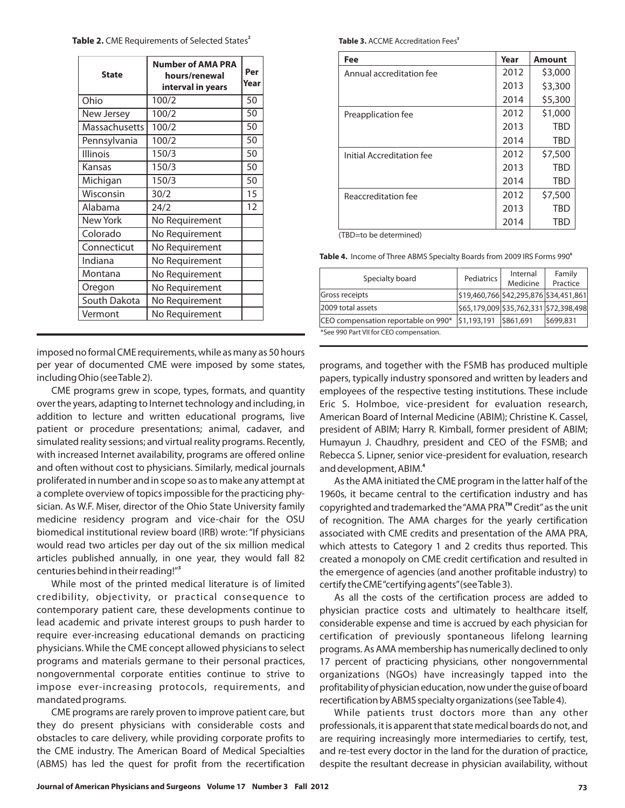**Journal of American Physicians and Surgeons Volume 17 Number 3 Fall 2012 73**

| <b>State</b>    | <b>Number of AMA PRA</b><br>hours/renewal<br>interval in years | Per<br>Year |
|-----------------|----------------------------------------------------------------|-------------|
| Ohio            | 100/2                                                          | 50          |
| New Jersey      | 100/2                                                          | 50          |
| Massachusetts   | 100/2                                                          | 50          |
| Pennsylvania    | 100/2                                                          | 50          |
| <b>Illinois</b> | 150/3                                                          | 50          |
| Kansas          | 150/3                                                          | 50          |
| Michigan        | 150/3                                                          | 50          |
| Wisconsin       | 30/2                                                           | 15          |
| Alabama         | 24/2                                                           | 12          |
| <b>New York</b> | No Requirement                                                 |             |
| Colorado        | No Requirement                                                 |             |
| Connecticut     | No Requirement                                                 |             |
| Indiana         | No Requirement                                                 |             |
| Montana         | No Requirement                                                 |             |
| Oregon          | No Requirement                                                 |             |
| South Dakota    | No Requirement                                                 |             |
| Vermont         | No Requirement                                                 |             |

imposed no formal CME requirements, while as many as 50 hours per year of documented CME were imposed by some states, including Ohio (seeTable 2).

CME programs grew in scope, types, formats, and quantity over the years, adapting to Internet technology and including, in addition to lecture and written educational programs, live patient or procedure presentations; animal, cadaver, and simulated reality sessions; and virtual reality programs. Recently, with increased Internet availability, programs are offered online and often without cost to physicians. Similarly, medical journals proliferated in number and in scope so as to make any attempt at a complete overview of topics impossible for the practicing physician. As W.F. Miser, director of the Ohio State University family medicine residency program and vice-chair for the OSU biomedical institutional review board (IRB) wrote: "If physicians would read two articles per day out of the six million medical articles published annually, in one year, they would fall 82 centuries behind in their reading!" **3**

While most of the printed medical literature is of limited credibility, objectivity, or practical consequence to contemporary patient care, these developments continue to lead academic and private interest groups to push harder to require ever-increasing educational demands on practicing physicians. While the CME concept allowed physicians to select programs and materials germane to their personal practices, nongovernmental corporate entities continue to strive to impose ever-increasing protocols, requirements, and mandated programs.

CME programs are rarely proven to improve patient care, but they do present physicians with considerable costs and obstacles to care delivery, while providing corporate profits to the CME industry. The American Board of Medical Specialties (ABMS) has led the quest for profit from the recertification **Table 3.** ACCME Accreditation Fees<sup>5</sup>

| Fee                       | Year | <b>Amount</b> |
|---------------------------|------|---------------|
| Annual accreditation fee  | 2012 | \$3,000       |
|                           | 2013 | \$3,300       |
|                           | 2014 | \$5,300       |
| Preapplication fee        | 2012 | \$1,000       |
|                           | 2013 | <b>TBD</b>    |
|                           | 2014 | TBD           |
| Initial Accreditation fee | 2012 | \$7,500       |
|                           | 2013 | TBD           |
|                           | 2014 | TBD           |
| Reaccreditation fee       | 2012 | \$7,500       |
|                           | 2013 | TBD           |
|                           | 2014 | TBC           |

(TBD=to be determined)

**Table 4.** Income of Three ABMS Specialty Boards from 2009 IRS Forms 990**<sup>6</sup>**

| Specialty board                         | Pediatrics  | Internal<br>Medicine                   | Family<br>Practice |  |
|-----------------------------------------|-------------|----------------------------------------|--------------------|--|
| <b>Gross receipts</b>                   |             | \$19,460,766 \$42,295,876 \$34,451,861 |                    |  |
| 2009 total assets                       |             | \$65,179,009 \$35,762,331 \$72,398,498 |                    |  |
| CEO compensation reportable on 990*     | \$1,193,191 | \$861,691                              | \$699,831          |  |
| *See 990 Part VII for CEO compensation. |             |                                        |                    |  |

programs, and together with the FSMB has produced multiple papers, typically industry sponsored and written by leaders and employees of the respective testing institutions. These include Eric S. Holmboe, vice-president for evaluation research, American Board of Internal Medicine (ABIM); Christine K. Cassel, president of ABIM; Harry R. Kimball, former president of ABIM; Humayun J. Chaudhry, president and CEO of the FSMB; and Rebecca S. Lipner, senior vice-president for evaluation, research and development, ABIM. **4**

As the AMA initiated the CME program in the latter half of the 1960s, it became central to the certification industry and has copyrighted and trademarked the "AMA PRA™ Credit" as the unit of recognition. The AMA charges for the yearly certification associated with CME credits and presentation of the AMA PRA, which attests to Category 1 and 2 credits thus reported. This created a monopoly on CME credit certification and resulted in the emergence of agencies (and another profitable industry) to certify the CME"certifying agents"(seeTable 3).

As all the costs of the certification process are added to physician practice costs and ultimately to healthcare itself, considerable expense and time is accrued by each physician for certification of previously spontaneous lifelong learning programs. As AMA membership has numerically declined to only 17 percent of practicing physicians, other nongovernmental organizations (NGOs) have increasingly tapped into the profitability of physician education, now under the guise of board recertification by ABMS specialty organizations (seeTable 4).

While patients trust doctors more than any other professionals, it is apparent that state medical boards do not, and are requiring increasingly more intermediaries to certify, test, and re-test every doctor in the land for the duration of practice, despite the resultant decrease in physician availability, without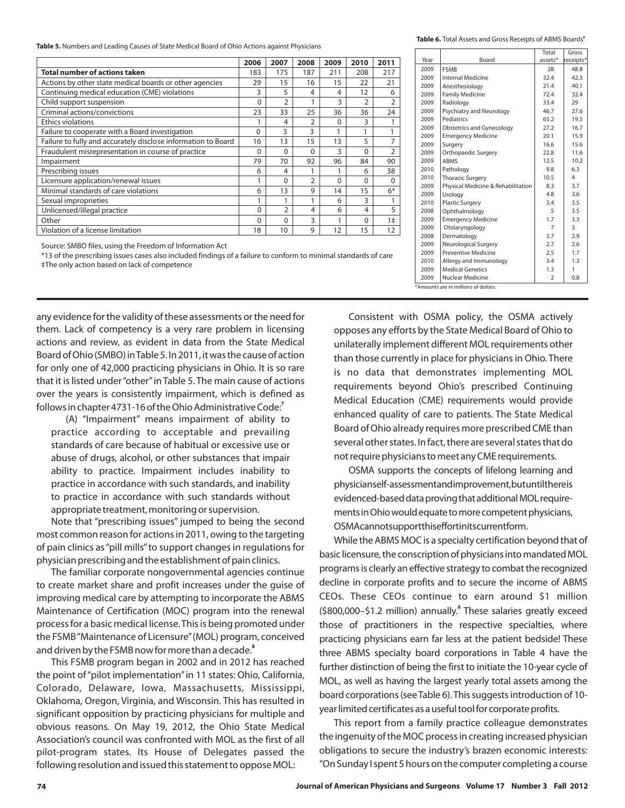**Table 5.** Numbers and Leading Causes of State Medical Board of Ohio Actions against Physicians

|                                                               | 2006     | 2007          | 2008           | 2009     | 2010           | 2011           |
|---------------------------------------------------------------|----------|---------------|----------------|----------|----------------|----------------|
| Total number of actions taken                                 | 183      | 175           | 187            | 211      | 208            | 217            |
| Actions by other state medical boards or other agencies       | 29       | 15            | 16             | 15       | 22             | 21             |
| Continuing medical education (CME) violations                 | 3        | 5             | 4              | 4        | 12             | 6              |
| Child support suspension                                      | $\Omega$ | $\mathcal{P}$ |                | 3        | $\overline{2}$ | $\overline{2}$ |
| Criminal actions/convictions                                  | 23       | 33            | 25             | 36       | 36             | 24             |
| <b>Ethics violations</b>                                      |          | 4             | C              | $\Omega$ | 3              |                |
| Failure to cooperate with a Board investigation               | 0        | 3             | 3              |          |                |                |
| Failure to fully and accurately disclose information to Board | 16       | 13            | 15             | 13       | 5              | 7              |
| Fraudulent misrepresentation in course of practice            | $\Omega$ | $\Omega$      | $\Omega$       | 3        | $\Omega$       | $\overline{2}$ |
| Impairment                                                    | 79       | 70            | 92             | 96       | 84             | 90             |
| Prescribing issues                                            | 6        | 4             |                |          | 6              | 38             |
| Licensure application/renewal issues                          |          | $\Omega$      | $\overline{2}$ | $\Omega$ | $\Omega$       | $\Omega$       |
| Minimal standards of care violations                          |          | 13            | 9              | 14       | 15             | $6*$           |
| Sexual improprieties                                          |          | 1             |                | 6        | 3              |                |
| Unlicensed/illegal practice                                   | $\Omega$ | $\mathcal{P}$ | 4              | 6        | 4              | 5              |
| Other                                                         | $\Omega$ | $\Omega$      | 3              |          | $\Omega$       | 1 <sup>±</sup> |
| Violation of a license limitation                             | 18       | 10            | 9              | 12       | 15             | 12             |

Source: SMBO files, using the Freedom of Information Act

\*13 of the prescribing issues cases also included findings of a failure to conform to minimal standards of care ‡The only action based on lack of competence

any evidence for the validity of these assessments or the need for them. Lack of competency is a very rare problem in licensing actions and review, as evident in data from the State Medical Board of Ohio (SMBO) inTable 5. In 2011, it was the cause of action for only one of 42,000 practicing physicians in Ohio. It is so rare that it is listed under"other"in Table 5. The main cause of actions over the years is consistently impairment, which is defined as follows in chapter 4731-16 of the Ohio Administrative Code: **7**

(A) "Impairment" means impairment of ability to practice according to acceptable and prevailing standards of care because of habitual or excessive use or abuse of drugs, alcohol, or other substances that impair ability to practice. Impairment includes inability to practice in accordance with such standards, and inability to practice in accordance with such standards without appropriate treatment, monitoring or supervision.

Note that "prescribing issues" jumped to being the second most common reason for actions in 2011, owing to the targeting of pain clinics as "pill mills" to support changes in regulations for physician prescribing and the establishment of pain clinics.

The familiar corporate nongovernmental agencies continue to create market share and profit increases under the guise of improving medical care by attempting to incorporate the ABMS Maintenance of Certification (MOC) program into the renewal process for a basic medical license. This is being promoted under the FSMB"Maintenance of Licensure"(MOL) program, conceived and driven by the FSMB now for more than a decade. **8**

This FSMB program began in 2002 and in 2012 has reached the point of "pilot implementation" in 11 states: Ohio, California, Colorado, Delaware, Iowa, Massachusetts, Mississippi, Oklahoma, Oregon, Virginia, and Wisconsin. This has resulted in significant opposition by practicing physicians for multiple and obvious reasons. On May 19, 2012, the Ohio State Medical Association's council was confronted with MOL as the first of all pilot-program states. Its House of Delegates passed the following resolution and issued this statement to oppose MOL:

**Table 6.** Total Assets and Gross Receipts of ABMS Boards**<sup>6</sup>**

|      |                                    | Total          | Gross     |
|------|------------------------------------|----------------|-----------|
| Year | Board                              | assets*        | receipts* |
| 2009 | <b>FSMB</b>                        | 28             | 48.8      |
| 2009 | Internal Medicine                  | 32.4           | 42.3      |
| 2009 | Anesthesiology                     | 21.4           | 40.1      |
| 2009 | <b>Family Medicine</b>             | 72.4           | 32.4      |
| 2009 | Radiology                          | 33.4           | 29        |
| 2009 | Psychiatry and Neurology           | 46.7           | 27.6      |
| 2009 | Pediatrics                         | 65.2           | 19.5      |
| 2009 | <b>Obstetrics and Gynecology</b>   | 27.2           | 16.7      |
| 2009 | <b>Emergency Medicine</b>          | 20.1           | 15.9      |
| 2009 | Surgery                            | 16.6           | 15.6      |
| 2009 | Orthopaedic Surgery                | 22.8           | 11.6      |
| 2009 | <b>ABMS</b>                        | 12.5           | 10.2      |
| 2010 | Pathology                          | 9.8            | 6.3       |
| 2010 | <b>Thoracic Surgery</b>            | 10.5           | 4         |
| 2009 | Physical Medicine & Rehabilitation | 8.3            | 3.7       |
| 2009 | Urology                            | 4.8            | 3.6       |
| 2010 | <b>Plastic Surgery</b>             | 3.4            | 3.5       |
| 2008 | Ophthalmology                      | 5              | 3.5       |
| 2009 | <b>Emergency Medicine</b>          | 1.7            | 3.3       |
| 2009 | Otolaryngology                     | 7              | 3         |
| 2008 | Dermatology                        | 3.7            | 2.9       |
| 2009 | Neurological Surgery               | 2.7            | 2.6       |
| 2009 | <b>Preventive Medicine</b>         | 2.5            | 1.7       |
| 2010 | Allergy and Immunology             | 3.4            | 1.3       |
| 2009 | <b>Medical Genetics</b>            | 1.3            | 1         |
| 2009 | Nuclear Medicine                   | $\overline{2}$ | 0.8       |

\*Amounts are in millions of dollars.

Consistent with OSMA policy, the OSMA actively opposes any efforts by the State Medical Board of Ohio to unilaterally implement different MOL requirements other than those currently in place for physicians in Ohio. There is no data that demonstrates implementing MOL requirements beyond Ohio's prescribed Continuing Medical Education (CME) requirements would provide enhanced quality of care to patients. The State Medical Board of Ohio already requires more prescribed CME than several other states. In fact, there are several states that do not require physicians to meet any CME requirements.

OSMA supports the concepts of lifelong learning and physicianself-assessmentandimprovement,butuntilthereis evidenced-based data proving that additional MOL requirements in Ohio would equate to more competent physicians, OSMAcannotsupportthiseffortinitscurrentform.

While the ABMS MOC is a specialty certification beyond that of basic licensure, the conscription of physicians into mandated MOL programs is clearly an effective strategy to combat the recognized decline in corporate profits and to secure the income of ABMS CEOs. These CEOs continue to earn around \$1 million (\$800,000-\$1.2 million) annually.<sup>6</sup> These salaries greatly exceed those of practitioners in the respective specialties, where practicing physicians earn far less at the patient bedside! These three ABMS specialty board corporations in Table 4 have the further distinction of being the first to initiate the 10-year cycle of MOL, as well as having the largest yearly total assets among the board corporations (see Table 6). This suggests introduction of 10 year limited certificates as a useful tool for corporate profits.

This report from a family practice colleague demonstrates the ingenuity of the MOC process in creating increased physician obligations to secure the industry's brazen economic interests: "On Sunday I spent 5 hours on the computer completing a course